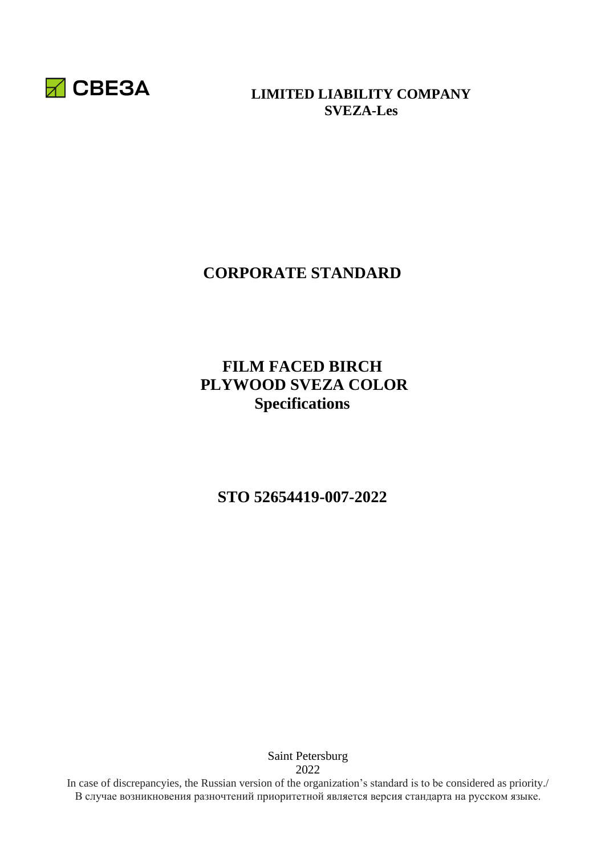

#### **LIMITED LIABILITY COMPANY SVEZA-Les**

# **CORPORATE STANDARD**

# **FILM FACED BIRCH PLYWOOD SVEZA COLOR Specifications**

**STO 52654419-007-2022** 

Saint Petersburg 2022

In case of discrepancyies, the Russian version of the organization's standard is to be considered as priority./ В случае возникновения разночтений приоритетной является версия стандарта на русском языке.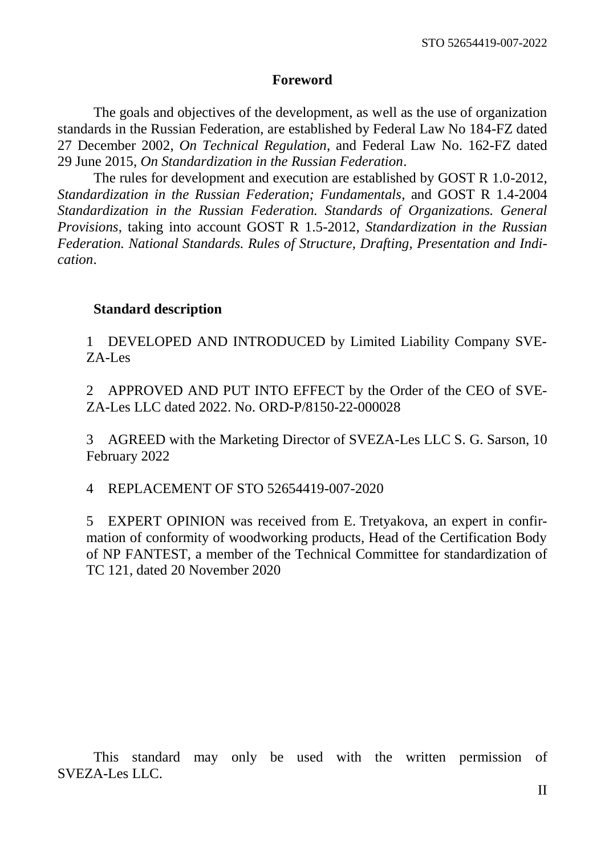#### **Foreword**

The goals and objectives of the development, as well as the use of organization standards in the Russian Federation, are established by Federal Law No 184-FZ dated 27 December 2002, *On Technical Regulation*, and Federal Law No. 162-FZ dated 29 June 2015, *On Standardization in the Russian Federation*.

The rules for development and execution are established by GOST R 1.0-2012, *Standardization in the Russian Federation; Fundamentals*, and GOST R 1.4-2004 *Standardization in the Russian Federation. Standards of Organizations. General Provisions*, taking into account GOST R 1.5-2012, *Standardization in the Russian Federation. National Standards. Rules of Structure, Drafting, Presentation and Indication*.

#### **Standard description**

1 DEVELOPED AND INTRODUCED by Limited Liability Company SVE-ZA-Les

2 APPROVED AND PUT INTO EFFECT by the Order of the CEO of SVE-ZA-Les LLC dated 2022. No. ORD-P/8150-22-000028

3 AGREED with the Marketing Director of SVEZA-Les LLC S. G. Sarson, 10 February 2022

4 REPLACEMENT OF STO 52654419-007-2020

5 EXPERT OPINION was received from E. Tretyakova, an expert in confirmation of conformity of woodworking products, Head of the Certification Body of NP FANTEST, a member of the Technical Committee for standardization of TC 121, dated 20 November 2020

This standard may only be used with the written permission of SVEZA-Les LLC.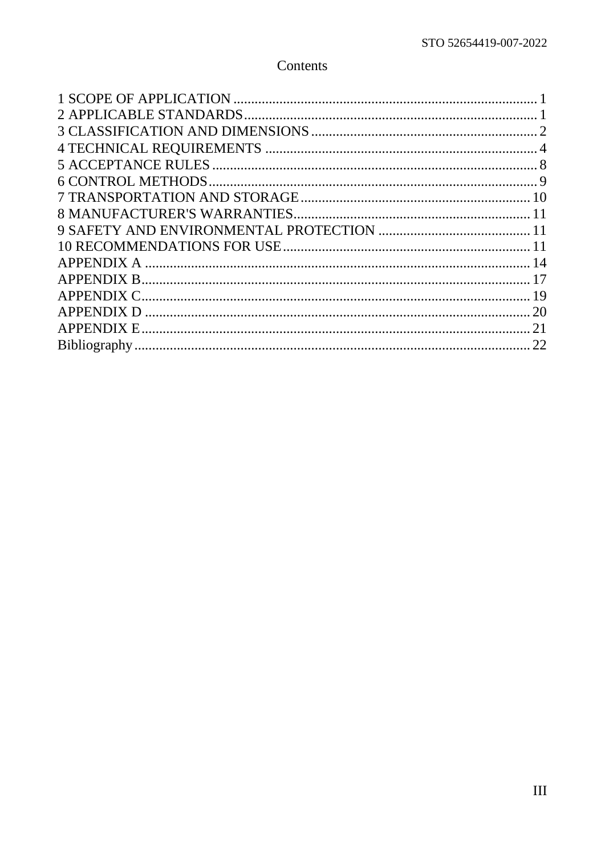# Contents

| 20 |
|----|
|    |
|    |
|    |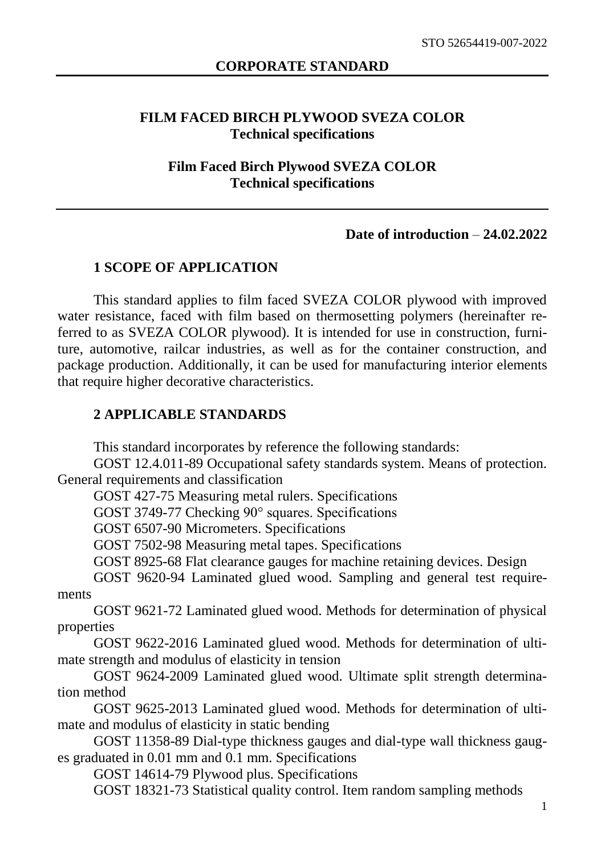#### **FILM FACED BIRCH PLYWOOD SVEZA COLOR Technical specifications**

#### **Film Faced Birch Plywood SVEZA COLOR Technical specifications**

#### **Date of introduction** – **24.02.2022**

#### **1 SCOPE OF APPLICATION**

<span id="page-3-0"></span>This standard applies to film faced SVEZA COLOR plywood with improved water resistance, faced with film based on thermosetting polymers (hereinafter referred to as SVEZA COLOR plywood). It is intended for use in construction, furniture, automotive, railcar industries, as well as for the container construction, and package production. Additionally, it can be used for manufacturing interior elements that require higher decorative characteristics.

#### <span id="page-3-1"></span>**2 APPLICABLE STANDARDS**

This standard incorporates by reference the following standards:

GOST 12.4.011-89 Occupational safety standards system. Means of protection. General requirements and classification

GOST 427-75 Measuring metal rulers. Specifications

GOST 3749-77 Checking 90° squares. Specifications

GOST 6507-90 Micrometers. Specifications

GOST 7502-98 Measuring metal tapes. Specifications

GOST 8925-68 Flat clearance gauges for machine retaining devices. Design

GOST 9620-94 Laminated glued wood. Sampling and general test requirements

GOST 9621-72 Laminated glued wood. Methods for determination of physical properties

GOST 9622-2016 Laminated glued wood. Methods for determination of ultimate strength and modulus of elasticity in tension

GOST 9624-2009 Laminated glued wood. Ultimate split strength determination method

GOST 9625-2013 Laminated glued wood. Methods for determination of ultimate and modulus of elasticity in static bending

GOST 11358-89 Dial-type thickness gauges and dial-type wall thickness gauges graduated in 0.01 mm and 0.1 mm. Specifications

GOST 14614-79 Plywood plus. Specifications

GOST 18321-73 Statistical quality control. Item random sampling methods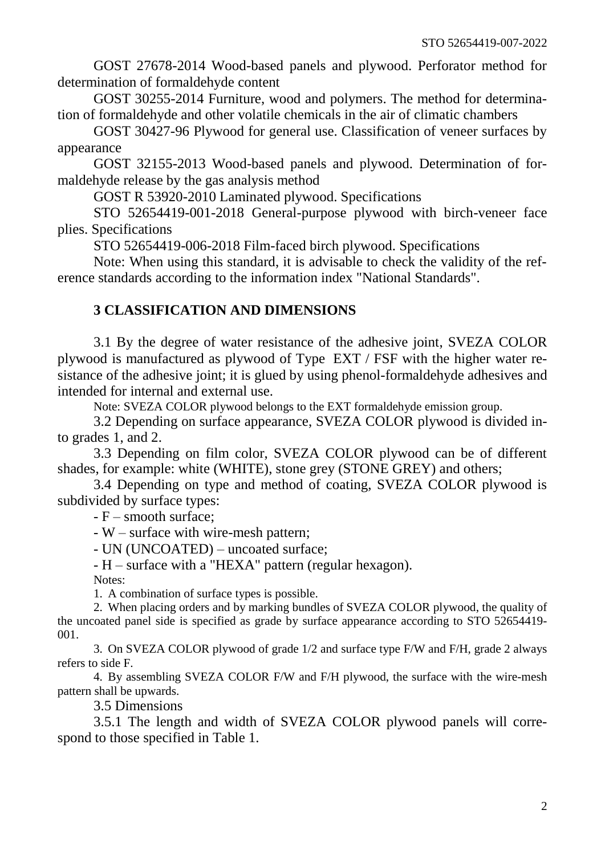GOST 27678-2014 Wood-based panels and plywood. Perforator method for determination of formaldehyde content

GOST 30255-2014 Furniture, wood and polymers. The method for determination of formaldehyde and other volatile chemicals in the air of climatic chambers

GOST 30427-96 Plywood for general use. Classification of veneer surfaces by appearance

GOST 32155-2013 Wood-based panels and plywood. Determination of formaldehyde release by the gas analysis method

GOST R 53920-2010 Laminated plywood. Specifications

STO 52654419-001-2018 General-purpose plywood with birch-veneer face plies. Specifications

STO 52654419-006-2018 Film-faced birch plywood. Specifications

Note: When using this standard, it is advisable to check the validity of the reference standards according to the information index "National Standards".

#### **3 CLASSIFICATION AND DIMENSIONS**

<span id="page-4-0"></span>3.1 By the degree of water resistance of the adhesive joint, SVEZA COLOR plywood is manufactured as plywood of Type EXT / FSF with the higher water resistance of the adhesive joint; it is glued by using phenol-formaldehyde adhesives and intended for internal and external use.

Note: SVEZA COLOR plywood belongs to the EXT formaldehyde emission group.

3.2 Depending on surface appearance, SVEZA COLOR plywood is divided into grades 1, and 2.

3.3 Depending on film color, SVEZA COLOR plywood can be of different shades, for example: white (WHITE), stone grey (STONE GREY) and others;

3.4 Depending on type and method of coating, SVEZA COLOR plywood is subdivided by surface types:

- F – smooth surface;

- W – surface with wire-mesh pattern;

- UN (UNCOATED) – uncoated surface;

- H – surface with a "HEXA" pattern (regular hexagon).

Notes:

1. A combination of surface types is possible.

2. When placing orders and by marking bundles of SVEZA COLOR plywood, the quality of the uncoated panel side is specified as grade by surface appearance according to STO 52654419- 001.

3. On SVEZA COLOR plywood of grade 1/2 and surface type F/W and F/H, grade 2 always refers to side F.

4. By assembling SVEZA COLOR F/W and F/H plywood, the surface with the wire-mesh pattern shall be upwards.

3.5 Dimensions

3.5.1 The length and width of SVEZA COLOR plywood panels will correspond to those specified in Table 1.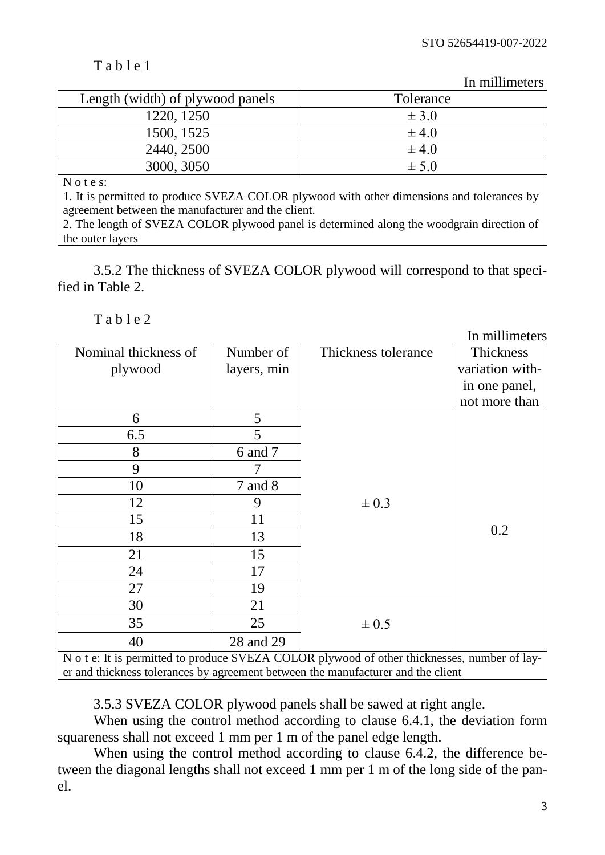## $T$  a b l e 1

In millimeters

| Length (width) of plywood panels | Tolerance |
|----------------------------------|-----------|
| 1220, 1250                       | $\pm$ 3.0 |
| 1500, 1525                       | $\pm$ 4.0 |
| 2440, 2500                       | $\pm$ 4.0 |
| 3000, 3050                       | $\pm$ 5.0 |
| $\mathbf{M}$                     |           |

N o t e s:

1. It is permitted to produce SVEZA COLOR plywood with other dimensions and tolerances by agreement between the manufacturer and the client.

2. The length of SVEZA COLOR plywood panel is determined along the woodgrain direction of the outer layers

3.5.2 The thickness of SVEZA COLOR plywood will correspond to that specified in Table 2.

#### $T$  a b l e 2

|                                                                                                                                                                                  |             |                     | In millimeters  |  |
|----------------------------------------------------------------------------------------------------------------------------------------------------------------------------------|-------------|---------------------|-----------------|--|
| Nominal thickness of                                                                                                                                                             | Number of   | Thickness tolerance | Thickness       |  |
| plywood                                                                                                                                                                          | layers, min |                     | variation with- |  |
|                                                                                                                                                                                  |             |                     | in one panel,   |  |
|                                                                                                                                                                                  |             |                     | not more than   |  |
| 6                                                                                                                                                                                | 5           |                     |                 |  |
| 6.5                                                                                                                                                                              | 5           |                     |                 |  |
| 8                                                                                                                                                                                | 6 and 7     |                     |                 |  |
| 9                                                                                                                                                                                |             |                     |                 |  |
| 10                                                                                                                                                                               | $7$ and $8$ |                     |                 |  |
| 12                                                                                                                                                                               | 9           | $\pm 0.3$           |                 |  |
| 15                                                                                                                                                                               | 11          |                     |                 |  |
| 18                                                                                                                                                                               | 13          |                     | 0.2             |  |
| 21                                                                                                                                                                               | 15          |                     |                 |  |
| 24                                                                                                                                                                               | 17          |                     |                 |  |
| 27                                                                                                                                                                               | 19          |                     |                 |  |
| 30                                                                                                                                                                               | 21          |                     |                 |  |
| 35                                                                                                                                                                               | 25          | $\pm$ 0.5           |                 |  |
| 40                                                                                                                                                                               | 28 and 29   |                     |                 |  |
| N o t e: It is permitted to produce SVEZA COLOR plywood of other thicknesses, number of lay-<br>er and thickness tolerances by agreement between the manufacturer and the client |             |                     |                 |  |

3.5.3 SVEZA COLOR plywood panels shall be sawed at right angle.

When using the control method according to clause 6.4.1, the deviation form squareness shall not exceed 1 mm per 1 m of the panel edge length.

When using the control method according to clause 6.4.2, the difference between the diagonal lengths shall not exceed 1 mm per 1 m of the long side of the panel.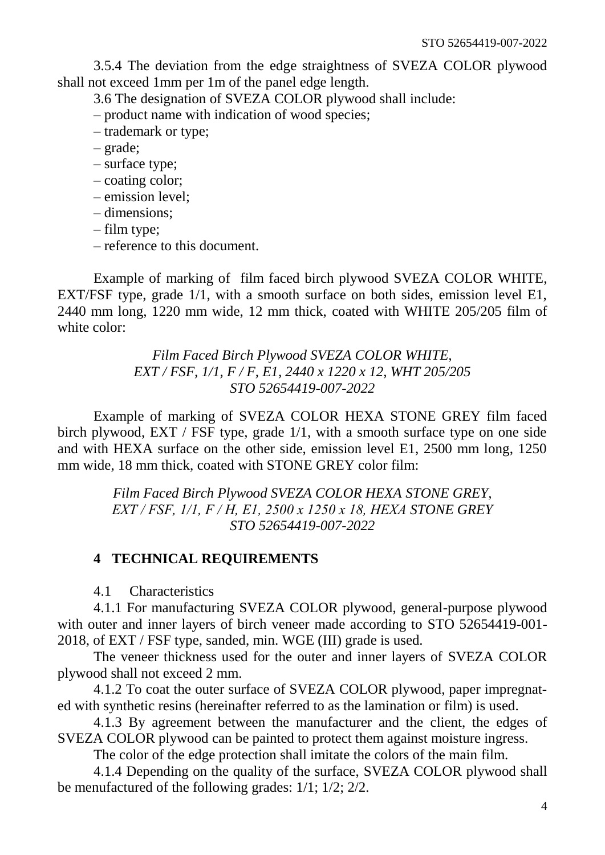3.5.4 The deviation from the edge straightness of SVEZA COLOR plywood shall not exceed 1mm per 1m of the panel edge length.

3.6 The designation of SVEZA COLOR plywood shall include:

– product name with indication of wood species;

- trademark or type;
- grade;
- surface type;
- coating color;
- emission level;
- dimensions;
- film type;
- reference to this document.

Example of marking of film faced birch plywood SVEZA COLOR WHITE, EXT/FSF type, grade 1/1, with a smooth surface on both sides, emission level E1, 2440 mm long, 1220 mm wide, 12 mm thick, coated with WHITE 205/205 film of white color:

> *Film Faced Birch Plywood SVEZA COLOR WHITE, EXT / FSF, 1/1, F / F, E1, 2440 x 1220 x 12, WHT 205/205 STO 52654419-007-2022*

Example of marking of SVEZA COLOR HEXA STONE GREY film faced birch plywood, EXT / FSF type, grade 1/1, with a smooth surface type on one side and with HEXA surface on the other side, emission level E1, 2500 mm long, 1250 mm wide, 18 mm thick, coated with STONE GREY color film:

> *Film Faced Birch Plywood SVEZA COLOR HEXA STONE GREY, EXT / FSF, 1/1, F / H, E1, 2500 х 1250 х 18, HEXA STONE GREY STO 52654419-007-2022*

#### <span id="page-6-0"></span>**4 TECHNICAL REQUIREMENTS**

4.1 Characteristics

4.1.1 For manufacturing SVEZA COLOR plywood, general-purpose plywood with outer and inner layers of birch veneer made according to STO 52654419-001- 2018, of EXT / FSF type, sanded, min. WGE (III) grade is used.

The veneer thickness used for the outer and inner layers of SVEZA COLOR plywood shall not exceed 2 mm.

4.1.2 To coat the outer surface of SVEZA COLOR plywood, paper impregnated with synthetic resins (hereinafter referred to as the lamination or film) is used.

4.1.3 By agreement between the manufacturer and the client, the edges of SVEZA COLOR plywood can be painted to protect them against moisture ingress.

The color of the edge protection shall imitate the colors of the main film.

4.1.4 Depending on the quality of the surface, SVEZA COLOR plywood shall be menufactured of the following grades: 1/1; 1/2; 2/2.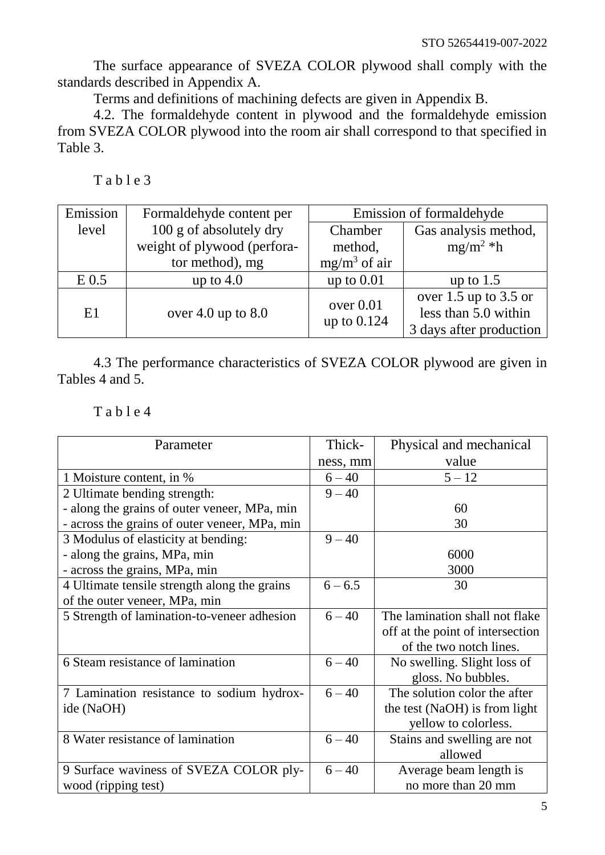The surface appearance of SVEZA COLOR plywood shall comply with the standards described in Appendix A.

Terms and definitions of machining defects are given in Appendix B.

4.2. The formaldehyde content in plywood and the formaldehyde emission from SVEZA COLOR plywood into the room air shall correspond to that specified in Table 3.

| Table 3 |  |
|---------|--|
|---------|--|

| Emission | Formaldehyde content per    | Emission of formaldehyde |                           |  |
|----------|-----------------------------|--------------------------|---------------------------|--|
| level    | 100 g of absolutely dry     | Chamber                  | Gas analysis method,      |  |
|          | weight of plywood (perfora- | method,                  | $mg/m^2 *h$               |  |
|          | tor method), mg             | $mg/m3$ of air           |                           |  |
| $E$ 0.5  | up to $4.0$                 | up to $0.01$             | up to $1.5$               |  |
|          |                             | over $0.01$              | over $1.5$ up to $3.5$ or |  |
| E1       | over 4.0 up to $8.0$        | up to 0.124              | less than 5.0 within      |  |
|          |                             |                          | 3 days after production   |  |

4.3 The performance characteristics of SVEZA COLOR plywood are given in Tables 4 and 5.

T a b l e 4

| Parameter                                     | Thick-    | Physical and mechanical          |
|-----------------------------------------------|-----------|----------------------------------|
|                                               | ness, mm  | value                            |
| 1 Moisture content, in %                      | $6 - 40$  | $5 - 12$                         |
| 2 Ultimate bending strength:                  | $9 - 40$  |                                  |
| - along the grains of outer veneer, MPa, min  |           | 60                               |
| - across the grains of outer veneer, MPa, min |           | 30                               |
| 3 Modulus of elasticity at bending:           | $9 - 40$  |                                  |
| - along the grains, MPa, min                  |           | 6000                             |
| - across the grains, MPa, min                 |           | 3000                             |
| 4 Ultimate tensile strength along the grains  | $6 - 6.5$ | 30                               |
| of the outer veneer, MPa, min                 |           |                                  |
| 5 Strength of lamination-to-veneer adhesion   | $6 - 40$  | The lamination shall not flake   |
|                                               |           | off at the point of intersection |
|                                               |           | of the two notch lines.          |
| 6 Steam resistance of lamination              | $6 - 40$  | No swelling. Slight loss of      |
|                                               |           | gloss. No bubbles.               |
| 7 Lamination resistance to sodium hydrox-     | $6 - 40$  | The solution color the after     |
| ide (NaOH)                                    |           | the test (NaOH) is from light    |
|                                               |           | yellow to colorless.             |
| 8 Water resistance of lamination              | $6 - 40$  | Stains and swelling are not      |
|                                               |           | allowed                          |
| 9 Surface waviness of SVEZA COLOR ply-        | $6 - 40$  | Average beam length is           |
| wood (ripping test)                           |           | no more than 20 mm               |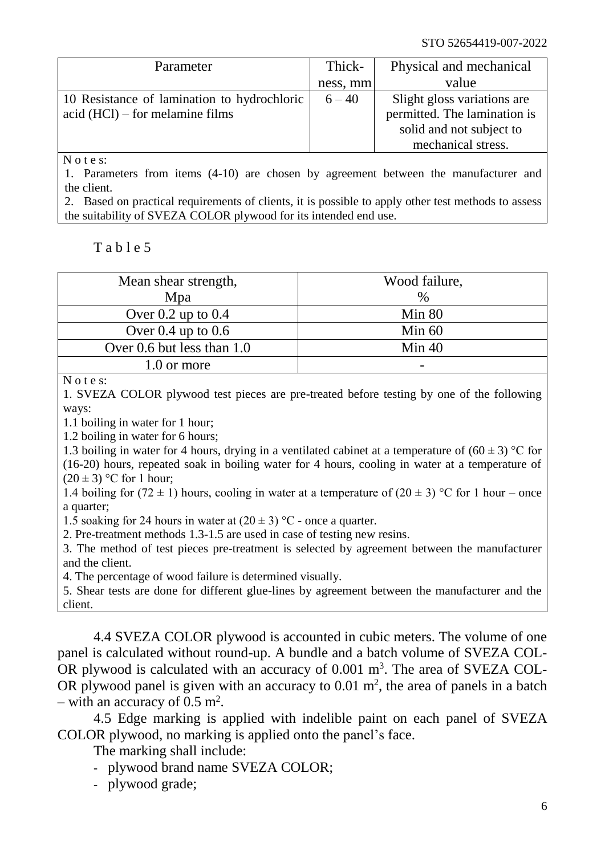| Parameter                                   | Thick-   | Physical and mechanical      |
|---------------------------------------------|----------|------------------------------|
|                                             | ness, mm | value                        |
| 10 Resistance of lamination to hydrochloric | $6 - 40$ | Slight gloss variations are  |
| $\alpha$ (HCl) – for melamine films         |          | permitted. The lamination is |
|                                             |          | solid and not subject to     |
|                                             |          | mechanical stress.           |

N o t e s:

1. Parameters from items (4-10) are chosen by agreement between the manufacturer and the client.

2. Based on practical requirements of clients, it is possible to apply other test methods to assess the suitability of SVEZA COLOR plywood for its intended end use.

## $T$  a b l e 5

| Mean shear strength,       | Wood failure, |
|----------------------------|---------------|
| Mpa                        | $\frac{0}{0}$ |
| Over $0.2$ up to $0.4$     | Min 80        |
| Over $0.4$ up to $0.6$     | Min $60$      |
| Over 0.6 but less than 1.0 | Min $40$      |
| 1.0 or more                |               |

N o t e s:

1. SVEZA COLOR plywood test pieces are pre-treated before testing by one of the following ways:

1.1 boiling in water for 1 hour;

1.2 boiling in water for 6 hours;

1.3 boiling in water for 4 hours, drying in a ventilated cabinet at a temperature of  $(60 \pm 3)$  °C for (16-20) hours, repeated soak in boiling water for 4 hours, cooling in water at a temperature of  $(20 \pm 3)$  °C for 1 hour;

1.4 boiling for  $(72 \pm 1)$  hours, cooling in water at a temperature of  $(20 \pm 3)$  °C for 1 hour – once a quarter;

1.5 soaking for 24 hours in water at  $(20 \pm 3)$  °C - once a quarter.

2. Pre-treatment methods 1.3-1.5 are used in case of testing new resins.

3. The method of test pieces pre-treatment is selected by agreement between the manufacturer and the client.

4. The percentage of wood failure is determined visually.

5. Shear tests are done for different glue-lines by agreement between the manufacturer and the client.

4.4 SVEZA COLOR plywood is accounted in cubic meters. The volume of one panel is calculated without round-up. A bundle and a batch volume of SVEZA COL-OR plywood is calculated with an accuracy of  $0.001 \text{ m}^3$ . The area of SVEZA COL-OR plywood panel is given with an accuracy to  $0.01 \text{ m}^2$ , the area of panels in a batch - with an accuracy of  $0.5 \text{ m}^2$ .

4.5 Edge marking is applied with indelible paint on each panel of SVEZA COLOR plywood, no marking is applied onto the panel's face.

The marking shall include:

- plywood brand name SVEZA COLOR;
- plywood grade;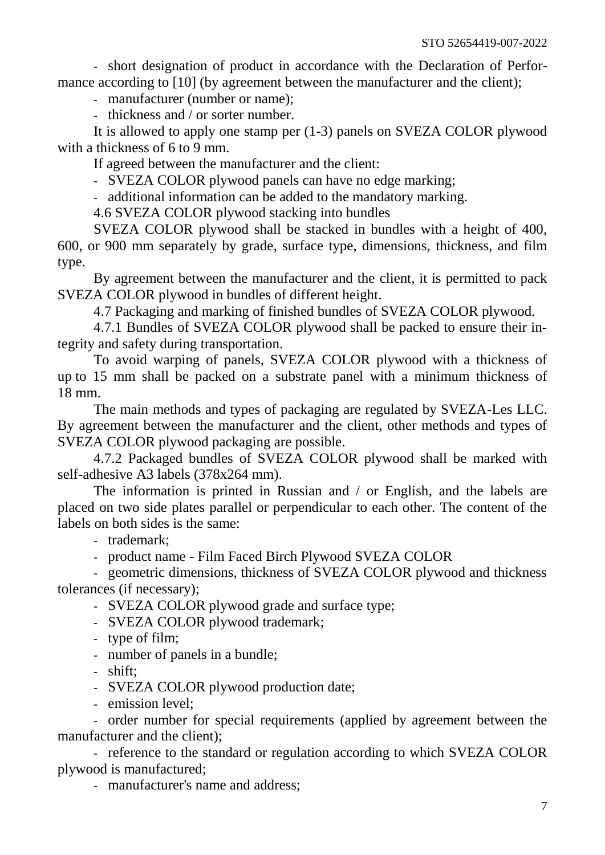- short designation of product in accordance with the Declaration of Performance according to [10] (by agreement between the manufacturer and the client);

- manufacturer (number or name);

- thickness and / or sorter number.

It is allowed to apply one stamp per (1-3) panels on SVEZA COLOR plywood with a thickness of 6 to 9 mm.

If agreed between the manufacturer and the client:

- SVEZA COLOR plywood panels can have no edge marking;

- additional information can be added to the mandatory marking.

4.6 SVEZA COLOR plywood stacking into bundles

SVEZA COLOR plywood shall be stacked in bundles with a height of 400, 600, or 900 mm separately by grade, surface type, dimensions, thickness, and film type.

By agreement between the manufacturer and the client, it is permitted to pack SVEZA COLOR plywood in bundles of different height.

4.7 Packaging and marking of finished bundles of SVEZA COLOR plywood.

4.7.1 Bundles of SVEZA COLOR plywood shall be packed to ensure their integrity and safety during transportation.

To avoid warping of panels, SVEZA COLOR plywood with a thickness of up to 15 mm shall be packed on a substrate panel with a minimum thickness of 18 mm.

The main methods and types of packaging are regulated by SVEZA-Les LLC. By agreement between the manufacturer and the client, other methods and types of SVEZA COLOR plywood packaging are possible.

4.7.2 Packaged bundles of SVEZA COLOR plywood shall be marked with self-adhesive A3 labels (378x264 mm).

The information is printed in Russian and / or English, and the labels are placed on two side plates parallel or perpendicular to each other. The content of the labels on both sides is the same:

- trademark;

- product name - Film Faced Birch Plywood SVEZA COLOR

- geometric dimensions, thickness of SVEZA COLOR plywood and thickness tolerances (if necessary);

- SVEZA COLOR plywood grade and surface type;

- SVEZA COLOR plywood trademark;

- type of film;

- number of panels in a bundle;

- shift;

- SVEZA COLOR plywood production date;

- emission level:

- order number for special requirements (applied by agreement between the manufacturer and the client);

- reference to the standard or regulation according to which SVEZA COLOR plywood is manufactured;

- manufacturer's name and address;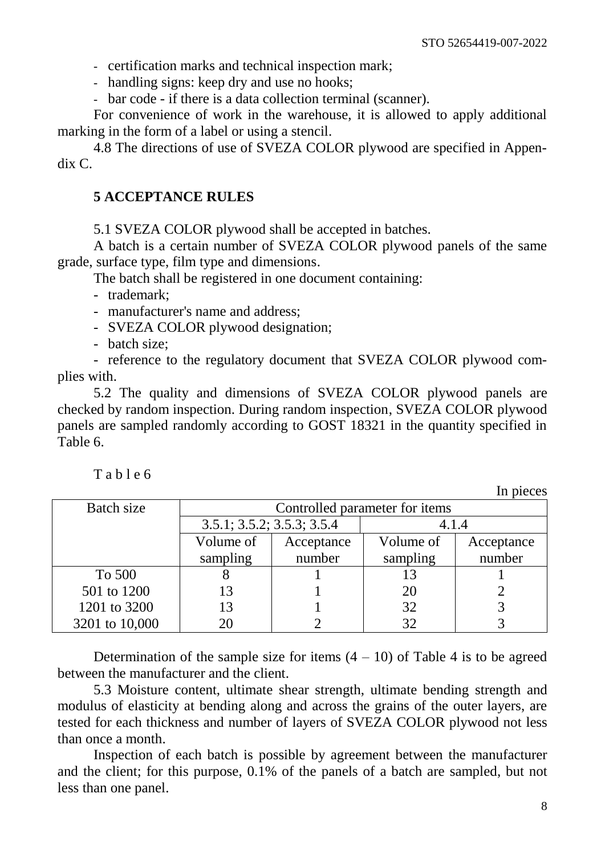- certification marks and technical inspection mark;

- handling signs: keep dry and use no hooks;

- bar code - if there is a data collection terminal (scanner).

For convenience of work in the warehouse, it is allowed to apply additional marking in the form of a label or using a stencil.

4.8 The directions of use of SVEZA COLOR plywood are specified in Appendix C.

## <span id="page-10-0"></span>**5 ACCEPTANCE RULES**

5.1 SVEZA COLOR plywood shall be accepted in batches.

A batch is a certain number of SVEZA COLOR plywood panels of the same grade, surface type, film type and dimensions.

The batch shall be registered in one document containing:

- trademark;

- manufacturer's name and address;

- SVEZA COLOR plywood designation;

- batch size;

- reference to the regulatory document that SVEZA COLOR plywood complies with.

5.2 The quality and dimensions of SVEZA COLOR plywood panels are checked by random inspection. During random inspection, SVEZA COLOR plywood panels are sampled randomly according to GOST 18321 in the quantity specified in Table 6.

T a b l e 6

In pieces

| Batch size     | Controlled parameter for items |            |          |            |
|----------------|--------------------------------|------------|----------|------------|
|                | 3.5.1; 3.5.2; 3.5.3; 3.5.4     |            | 4.1.4    |            |
|                | Volume of                      | Acceptance |          | Acceptance |
|                | sampling                       | number     | sampling | number     |
| To 500         |                                |            | 13       |            |
| 501 to 1200    | 13                             |            | 20       |            |
| 1201 to 3200   | 13                             |            | 32       |            |
| 3201 to 10,000 | 20                             |            | 32       |            |

Determination of the sample size for items  $(4 - 10)$  of Table 4 is to be agreed between the manufacturer and the client.

5.3 Moisture content, ultimate shear strength, ultimate bending strength and modulus of elasticity at bending along and across the grains of the outer layers, are tested for each thickness and number of layers of SVEZA COLOR plywood not less than once a month.

Inspection of each batch is possible by agreement between the manufacturer and the client; for this purpose, 0.1% of the panels of a batch are sampled, but not less than one panel.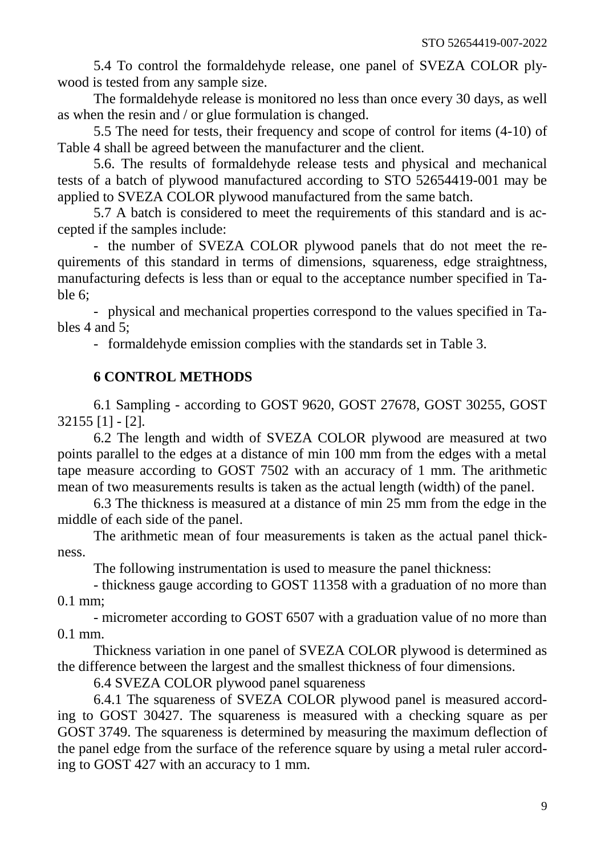5.4 To control the formaldehyde release, one panel of SVEZA COLOR plywood is tested from any sample size.

The formaldehyde release is monitored no less than once every 30 days, as well as when the resin and / or glue formulation is changed.

5.5 The need for tests, their frequency and scope of control for items (4-10) of Table 4 shall be agreed between the manufacturer and the client.

5.6. The results of formaldehyde release tests and physical and mechanical tests of a batch of plywood manufactured according to STO 52654419-001 may be applied to SVEZA COLOR plywood manufactured from the same batch.

5.7 A batch is considered to meet the requirements of this standard and is accepted if the samples include:

- the number of SVEZA COLOR plywood panels that do not meet the requirements of this standard in terms of dimensions, squareness, edge straightness, manufacturing defects is less than or equal to the acceptance number specified in Table 6;

- physical and mechanical properties correspond to the values specified in Tables 4 and 5;

- formaldehyde emission complies with the standards set in Table 3.

# **6 CONTROL METHODS**

<span id="page-11-0"></span>6.1 Sampling - according to GOST 9620, GOST 27678, GOST 30255, GOST 32155 [1] - [2].

6.2 The length and width of SVEZA COLOR plywood are measured at two points parallel to the edges at a distance of min 100 mm from the edges with a metal tape measure according to GOST 7502 with an accuracy of 1 mm. The arithmetic mean of two measurements results is taken as the actual length (width) of the panel.

6.3 The thickness is measured at a distance of min 25 mm from the edge in the middle of each side of the panel.

The arithmetic mean of four measurements is taken as the actual panel thickness.

The following instrumentation is used to measure the panel thickness:

- thickness gauge according to GOST 11358 with a graduation of no more than 0.1 mm;

- micrometer according to GOST 6507 with a graduation value of no more than 0.1 mm.

Thickness variation in one panel of SVEZA COLOR plywood is determined as the difference between the largest and the smallest thickness of four dimensions.

6.4 SVEZA COLOR plywood panel squareness

6.4.1 The squareness of SVEZA COLOR plywood panel is measured according to GOST 30427. The squareness is measured with a checking square as per GOST 3749. The squareness is determined by measuring the maximum deflection of the panel edge from the surface of the reference square by using a metal ruler according to GOST 427 with an accuracy to 1 mm.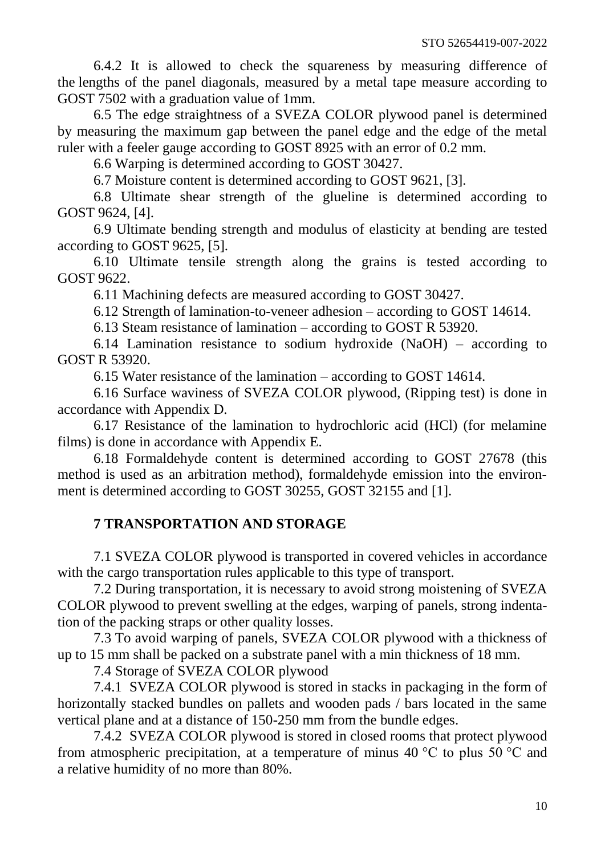6.4.2 It is allowed to check the squareness by measuring difference of the lengths of the panel diagonals, measured by a metal tape measure according to GOST 7502 with a graduation value of 1mm.

6.5 The edge straightness of a SVEZA COLOR plywood panel is determined by measuring the maximum gap between the panel edge and the edge of the metal ruler with a feeler gauge according to GOST 8925 with an error of 0.2 mm.

6.6 Warping is determined according to GOST 30427.

6.7 Moisture content is determined according to GOST 9621, [3].

6.8 Ultimate shear strength of the glueline is determined according to GOST 9624, [4].

6.9 Ultimate bending strength and modulus of elasticity at bending are tested according to GOST 9625, [5].

6.10 Ultimate tensile strength along the grains is tested according to GOST 9622.

6.11 Machining defects are measured according to GOST 30427.

6.12 Strength of lamination-to-veneer adhesion – according to GOST 14614.

6.13 Steam resistance of lamination – according to GOST R 53920.

6.14 Lamination resistance to sodium hydroxide (NaOH) – according to GOST R 53920.

6.15 Water resistance of the lamination – according to GOST 14614.

6.16 Surface waviness of SVEZA COLOR plywood, (Ripping test) is done in accordance with Appendix D.

6.17 Resistance of the lamination to hydrochloric acid (HCl) (for melamine films) is done in accordance with Appendix E.

6.18 Formaldehyde content is determined according to GOST 27678 (this method is used as an arbitration method), formaldehyde emission into the environment is determined according to GOST 30255, GOST 32155 and [1].

# **7 TRANSPORTATION AND STORAGE**

<span id="page-12-0"></span>7.1 SVEZA COLOR plywood is transported in covered vehicles in accordance with the cargo transportation rules applicable to this type of transport.

7.2 During transportation, it is necessary to avoid strong moistening of SVEZA COLOR plywood to prevent swelling at the edges, warping of panels, strong indentation of the packing straps or other quality losses.

7.3 To avoid warping of panels, SVEZA COLOR plywood with a thickness of up to 15 mm shall be packed on a substrate panel with a min thickness of 18 mm.

7.4 Storage of SVEZA COLOR plywood

7.4.1 SVEZA COLOR plywood is stored in stacks in packaging in the form of horizontally stacked bundles on pallets and wooden pads / bars located in the same vertical plane and at a distance of 150-250 mm from the bundle edges.

7.4.2 SVEZA COLOR plywood is stored in closed rooms that protect plywood from atmospheric precipitation, at a temperature of minus 40  $\degree$ C to plus 50  $\degree$ C and a relative humidity of no more than 80%.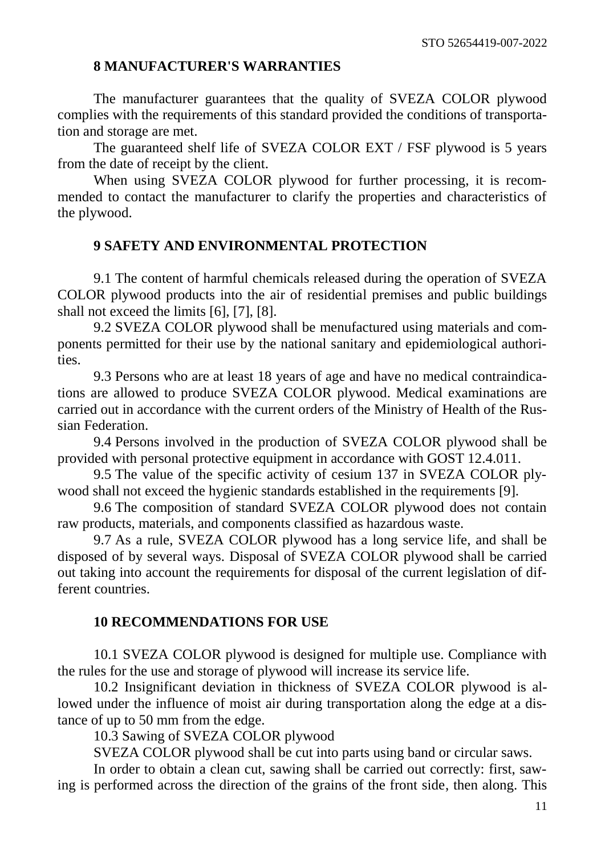#### **8 MANUFACTURER'S WARRANTIES**

<span id="page-13-0"></span>The manufacturer guarantees that the quality of SVEZA COLOR plywood complies with the requirements of this standard provided the conditions of transportation and storage are met.

The guaranteed shelf life of SVEZA COLOR EXT / FSF plywood is 5 years from the date of receipt by the client.

When using SVEZA COLOR plywood for further processing, it is recommended to contact the manufacturer to clarify the properties and characteristics of the plywood.

#### **9 SAFETY AND ENVIRONMENTAL PROTECTION**

<span id="page-13-1"></span>9.1 The content of harmful chemicals released during the operation of SVEZA COLOR plywood products into the air of residential premises and public buildings shall not exceed the limits [6], [7], [8].

9.2 SVEZA COLOR plywood shall be menufactured using materials and components permitted for their use by the national sanitary and epidemiological authorities.

9.3 Persons who are at least 18 years of age and have no medical contraindications are allowed to produce SVEZA COLOR plywood. Medical examinations are carried out in accordance with the current orders of the Ministry of Health of the Russian Federation.

9.4 Persons involved in the production of SVEZA COLOR plywood shall be provided with personal protective equipment in accordance with GOST 12.4.011.

9.5 The value of the specific activity of cesium 137 in SVEZA COLOR plywood shall not exceed the hygienic standards established in the requirements [9].

9.6 The composition of standard SVEZA COLOR plywood does not contain raw products, materials, and components classified as hazardous waste.

9.7 As a rule, SVEZA COLOR plywood has a long service life, and shall be disposed of by several ways. Disposal of SVEZA COLOR plywood shall be carried out taking into account the requirements for disposal of the current legislation of different countries.

# **10 RECOMMENDATIONS FOR USE**

<span id="page-13-2"></span>10.1 SVEZA COLOR plywood is designed for multiple use. Compliance with the rules for the use and storage of plywood will increase its service life.

10.2 Insignificant deviation in thickness of SVEZA COLOR plywood is allowed under the influence of moist air during transportation along the edge at a distance of up to 50 mm from the edge.

10.3 Sawing of SVEZA COLOR plywood

SVEZA COLOR plywood shall be cut into parts using band or circular saws.

In order to obtain a clean cut, sawing shall be carried out correctly: first, sawing is performed across the direction of the grains of the front side, then along. This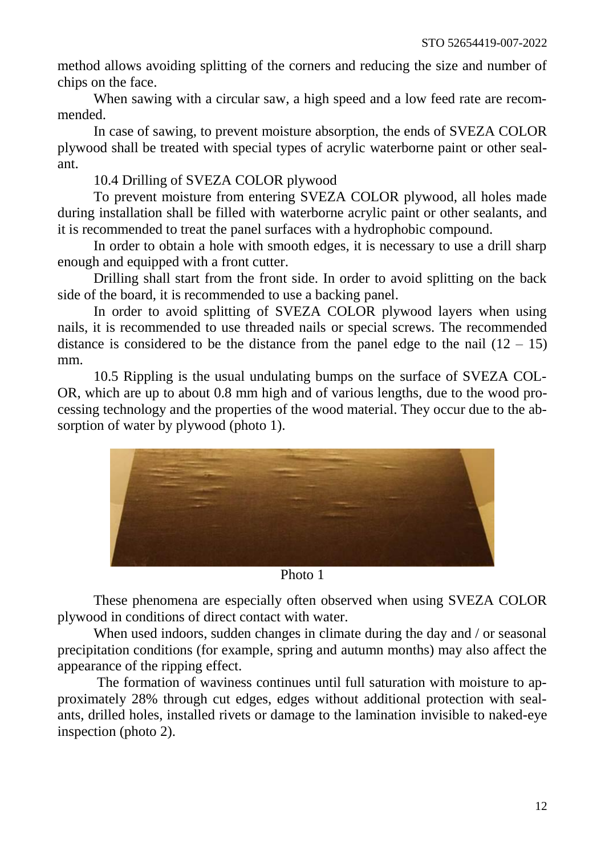method allows avoiding splitting of the corners and reducing the size and number of chips on the face.

When sawing with a circular saw, a high speed and a low feed rate are recommended.

In case of sawing, to prevent moisture absorption, the ends of SVEZA COLOR plywood shall be treated with special types of acrylic waterborne paint or other sealant.

10.4 Drilling of SVEZA COLOR plywood

To prevent moisture from entering SVEZA COLOR plywood, all holes made during installation shall be filled with waterborne acrylic paint or other sealants, and it is recommended to treat the panel surfaces with a hydrophobic compound.

In order to obtain a hole with smooth edges, it is necessary to use a drill sharp enough and equipped with a front cutter.

Drilling shall start from the front side. In order to avoid splitting on the back side of the board, it is recommended to use a backing panel.

In order to avoid splitting of SVEZA COLOR plywood layers when using nails, it is recommended to use threaded nails or special screws. The recommended distance is considered to be the distance from the panel edge to the nail  $(12 - 15)$ mm.

10.5 Rippling is the usual undulating bumps on the surface of SVEZA COL-OR, which are up to about 0.8 mm high and of various lengths, due to the wood processing technology and the properties of the wood material. They occur due to the absorption of water by plywood (photo 1).



Photo 1

These phenomena are especially often observed when using SVEZA COLOR plywood in conditions of direct contact with water.

When used indoors, sudden changes in climate during the day and / or seasonal precipitation conditions (for example, spring and autumn months) may also affect the appearance of the ripping effect.

The formation of waviness continues until full saturation with moisture to approximately 28% through cut edges, edges without additional protection with sealants, drilled holes, installed rivets or damage to the lamination invisible to naked-eye inspection (photo 2).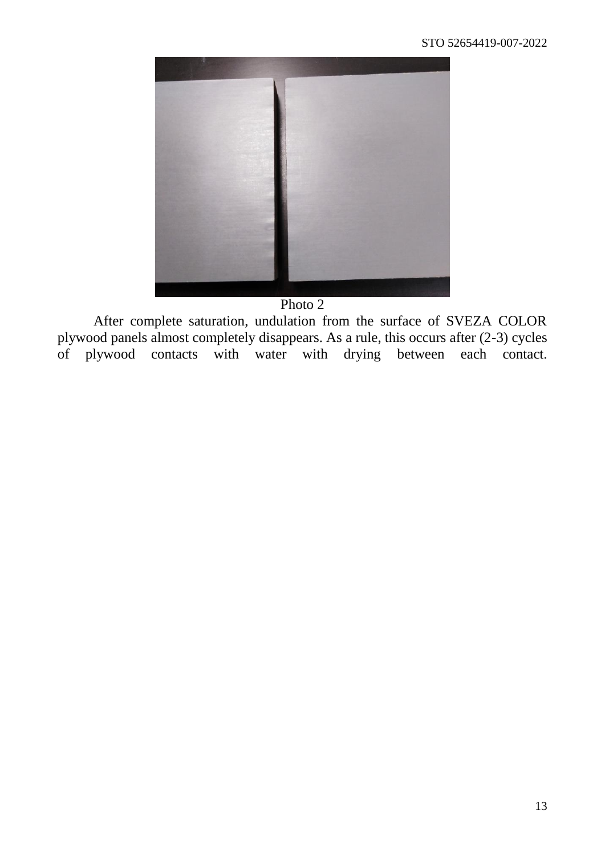

Photo 2

After complete saturation, undulation from the surface of SVEZA COLOR plywood panels almost completely disappears. As a rule, this occurs after (2-3) cycles of plywood contacts with water with drying between each contact.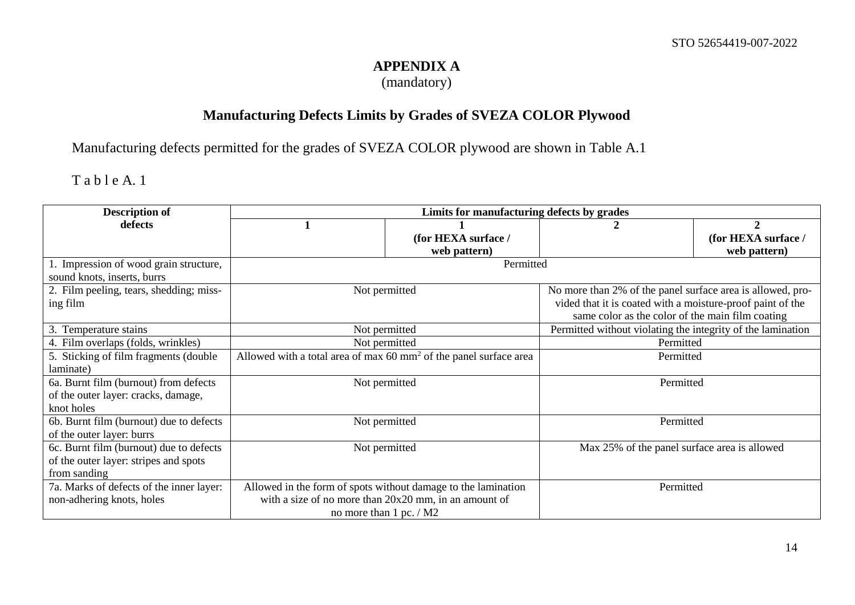## **APPENDIX A**

(mandatory)

# **Manufacturing Defects Limits by Grades of SVEZA COLOR Plywood**

Manufacturing defects permitted for the grades of SVEZA COLOR plywood are shown in Table A.1

# Table A. 1

<span id="page-16-0"></span>

| <b>Description of</b>                    | Limits for manufacturing defects by grades                                   |                         |                                                             |                     |
|------------------------------------------|------------------------------------------------------------------------------|-------------------------|-------------------------------------------------------------|---------------------|
| defects                                  |                                                                              |                         |                                                             | $\mathcal{D}$       |
|                                          |                                                                              | (for HEXA surface /     |                                                             | (for HEXA surface / |
|                                          |                                                                              | web pattern)            |                                                             | web pattern)        |
| 1. Impression of wood grain structure,   |                                                                              | Permitted               |                                                             |                     |
| sound knots, inserts, burrs              |                                                                              |                         |                                                             |                     |
| 2. Film peeling, tears, shedding; miss-  |                                                                              | Not permitted           | No more than 2% of the panel surface area is allowed, pro-  |                     |
| ing film                                 |                                                                              |                         | vided that it is coated with a moisture-proof paint of the  |                     |
|                                          |                                                                              |                         | same color as the color of the main film coating            |                     |
| 3. Temperature stains                    |                                                                              | Not permitted           | Permitted without violating the integrity of the lamination |                     |
| 4. Film overlaps (folds, wrinkles)       | Not permitted                                                                |                         | Permitted                                                   |                     |
| 5. Sticking of film fragments (double    | Allowed with a total area of max $60 \text{ mm}^2$ of the panel surface area |                         | Permitted                                                   |                     |
| laminate)                                |                                                                              |                         |                                                             |                     |
| 6a. Burnt film (burnout) from defects    | Not permitted                                                                |                         | Permitted                                                   |                     |
| of the outer layer: cracks, damage,      |                                                                              |                         |                                                             |                     |
| knot holes                               |                                                                              |                         |                                                             |                     |
| 6b. Burnt film (burnout) due to defects  |                                                                              | Not permitted           | Permitted                                                   |                     |
| of the outer layer: burrs                |                                                                              |                         |                                                             |                     |
| 6c. Burnt film (burnout) due to defects  | Not permitted                                                                |                         | Max 25% of the panel surface area is allowed                |                     |
| of the outer layer: stripes and spots    |                                                                              |                         |                                                             |                     |
| from sanding                             |                                                                              |                         |                                                             |                     |
| 7a. Marks of defects of the inner layer: | Allowed in the form of spots without damage to the lamination                |                         | Permitted                                                   |                     |
| non-adhering knots, holes                | with a size of no more than $20x20$ mm, in an amount of                      |                         |                                                             |                     |
|                                          |                                                                              | no more than 1 pc. / M2 |                                                             |                     |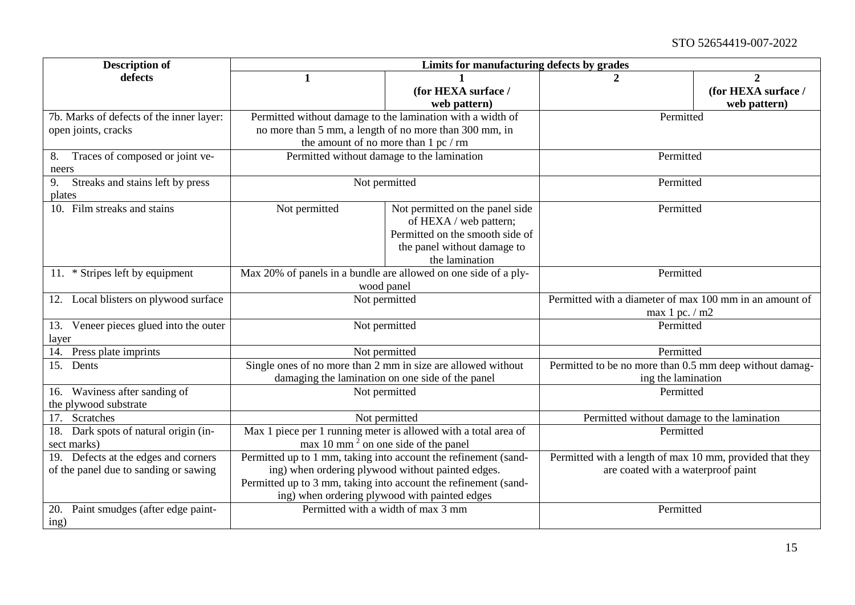#### STO 52654419-007-2022

| <b>Description of</b>                    | Limits for manufacturing defects by grades                      |                                                            |                                                          |                     |
|------------------------------------------|-----------------------------------------------------------------|------------------------------------------------------------|----------------------------------------------------------|---------------------|
| defects                                  | 1                                                               |                                                            |                                                          | 2                   |
|                                          |                                                                 | (for HEXA surface /                                        |                                                          | (for HEXA surface / |
|                                          |                                                                 | web pattern)                                               |                                                          | web pattern)        |
| 7b. Marks of defects of the inner layer: |                                                                 | Permitted without damage to the lamination with a width of | Permitted                                                |                     |
| open joints, cracks                      |                                                                 | no more than 5 mm, a length of no more than 300 mm, in     |                                                          |                     |
|                                          |                                                                 | the amount of no more than 1 pc / rm                       |                                                          |                     |
| Traces of composed or joint ve-<br>8.    |                                                                 | Permitted without damage to the lamination                 | Permitted                                                |                     |
| neers                                    |                                                                 |                                                            |                                                          |                     |
| 9.<br>Streaks and stains left by press   |                                                                 | Not permitted                                              | Permitted                                                |                     |
| plates                                   |                                                                 |                                                            |                                                          |                     |
| 10. Film streaks and stains              | Not permitted                                                   | Not permitted on the panel side                            | Permitted                                                |                     |
|                                          |                                                                 | of HEXA / web pattern;                                     |                                                          |                     |
|                                          |                                                                 | Permitted on the smooth side of                            |                                                          |                     |
|                                          |                                                                 | the panel without damage to                                |                                                          |                     |
|                                          |                                                                 | the lamination                                             |                                                          |                     |
| 11. * Stripes left by equipment          | Max 20% of panels in a bundle are allowed on one side of a ply- |                                                            | Permitted                                                |                     |
|                                          | wood panel                                                      |                                                            |                                                          |                     |
| 12. Local blisters on plywood surface    |                                                                 | Not permitted                                              | Permitted with a diameter of max 100 mm in an amount of  |                     |
|                                          |                                                                 |                                                            | max 1 pc. / m2                                           |                     |
| 13. Veneer pieces glued into the outer   |                                                                 | Not permitted                                              | Permitted                                                |                     |
| layer                                    |                                                                 |                                                            |                                                          |                     |
| Press plate imprints<br>14.              | Not permitted                                                   |                                                            | Permitted                                                |                     |
| 15. Dents                                | Single ones of no more than 2 mm in size are allowed without    |                                                            | Permitted to be no more than 0.5 mm deep without damag-  |                     |
|                                          |                                                                 | damaging the lamination on one side of the panel           | ing the lamination                                       |                     |
| 16. Waviness after sanding of            |                                                                 | Not permitted                                              | Permitted                                                |                     |
| the plywood substrate                    |                                                                 |                                                            |                                                          |                     |
| Scratches<br>17.                         |                                                                 | Not permitted                                              | Permitted without damage to the lamination               |                     |
| Dark spots of natural origin (in-<br>18. | Max 1 piece per 1 running meter is allowed with a total area of |                                                            | Permitted                                                |                     |
| sect marks)                              | $\text{max } 10 \text{ mm}^2$ on one side of the panel          |                                                            |                                                          |                     |
| 19. Defects at the edges and corners     | Permitted up to 1 mm, taking into account the refinement (sand- |                                                            | Permitted with a length of max 10 mm, provided that they |                     |
| of the panel due to sanding or sawing    |                                                                 | ing) when ordering plywood without painted edges.          | are coated with a waterproof paint                       |                     |
|                                          | Permitted up to 3 mm, taking into account the refinement (sand- |                                                            |                                                          |                     |
|                                          |                                                                 | ing) when ordering plywood with painted edges              |                                                          |                     |
| Paint smudges (after edge paint-<br>20.  |                                                                 | Permitted with a width of max 3 mm                         | Permitted                                                |                     |
| ing)                                     |                                                                 |                                                            |                                                          |                     |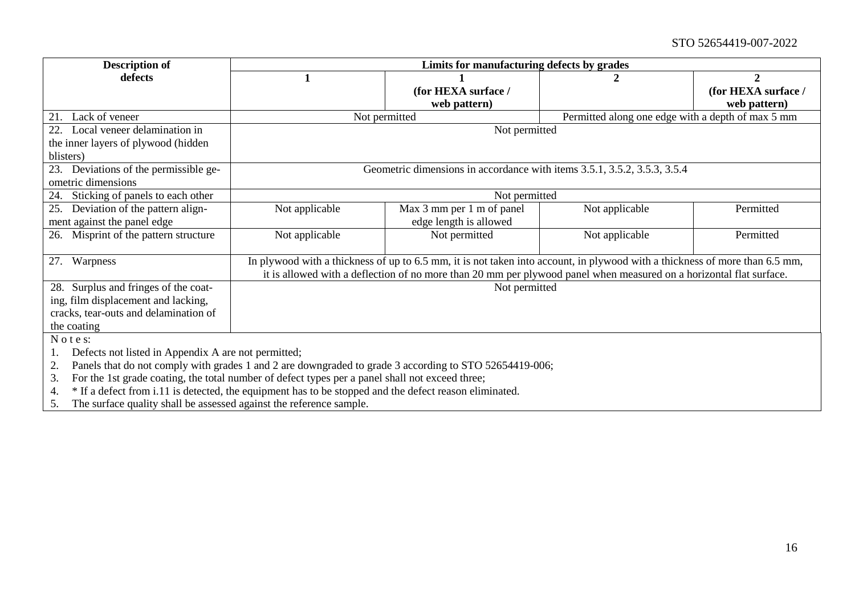#### STO 52654419-007-2022

| <b>Description of</b>                                                                                        | Limits for manufacturing defects by grades |                                                                                                                             |                                                   |                     |
|--------------------------------------------------------------------------------------------------------------|--------------------------------------------|-----------------------------------------------------------------------------------------------------------------------------|---------------------------------------------------|---------------------|
| defects                                                                                                      |                                            |                                                                                                                             |                                                   | $\mathbf 2$         |
|                                                                                                              |                                            | (for HEXA surface /                                                                                                         |                                                   | (for HEXA surface / |
|                                                                                                              |                                            | web pattern)                                                                                                                |                                                   | web pattern)        |
| 21.<br>Lack of veneer                                                                                        |                                            | Not permitted                                                                                                               | Permitted along one edge with a depth of max 5 mm |                     |
| 22. Local veneer delamination in                                                                             |                                            | Not permitted                                                                                                               |                                                   |                     |
| the inner layers of plywood (hidden                                                                          |                                            |                                                                                                                             |                                                   |                     |
| blisters)                                                                                                    |                                            |                                                                                                                             |                                                   |                     |
| 23.<br>Deviations of the permissible ge-                                                                     |                                            | Geometric dimensions in accordance with items 3.5.1, 3.5.2, 3.5.3, 3.5.4                                                    |                                                   |                     |
| ometric dimensions                                                                                           |                                            |                                                                                                                             |                                                   |                     |
| Sticking of panels to each other<br>24.                                                                      |                                            | Not permitted                                                                                                               |                                                   |                     |
| Deviation of the pattern align-<br>25.                                                                       | Not applicable                             | Max 3 mm per 1 m of panel                                                                                                   | Not applicable                                    | Permitted           |
| ment against the panel edge                                                                                  |                                            | edge length is allowed                                                                                                      |                                                   |                     |
| 26. Misprint of the pattern structure                                                                        | Not applicable                             | Not permitted                                                                                                               | Not applicable                                    | Permitted           |
|                                                                                                              |                                            |                                                                                                                             |                                                   |                     |
| 27. Warpness                                                                                                 |                                            | In plywood with a thickness of up to 6.5 mm, it is not taken into account, in plywood with a thickness of more than 6.5 mm, |                                                   |                     |
|                                                                                                              |                                            | it is allowed with a deflection of no more than 20 mm per plywood panel when measured on a horizontal flat surface.         |                                                   |                     |
| 28. Surplus and fringes of the coat-                                                                         |                                            | Not permitted                                                                                                               |                                                   |                     |
| ing, film displacement and lacking,                                                                          |                                            |                                                                                                                             |                                                   |                     |
| cracks, tear-outs and delamination of                                                                        |                                            |                                                                                                                             |                                                   |                     |
| the coating                                                                                                  |                                            |                                                                                                                             |                                                   |                     |
| Notes:                                                                                                       |                                            |                                                                                                                             |                                                   |                     |
| Defects not listed in Appendix A are not permitted;<br>1.                                                    |                                            |                                                                                                                             |                                                   |                     |
| Panels that do not comply with grades 1 and 2 are downgraded to grade 3 according to STO 52654419-006;<br>2. |                                            |                                                                                                                             |                                                   |                     |
| For the 1st grade coating, the total number of defect types per a panel shall not exceed three;<br>3.        |                                            |                                                                                                                             |                                                   |                     |
| * If a defect from i.11 is detected, the equipment has to be stopped and the defect reason eliminated.<br>4. |                                            |                                                                                                                             |                                                   |                     |
| The surface quality shall be assessed against the reference sample.<br>5.                                    |                                            |                                                                                                                             |                                                   |                     |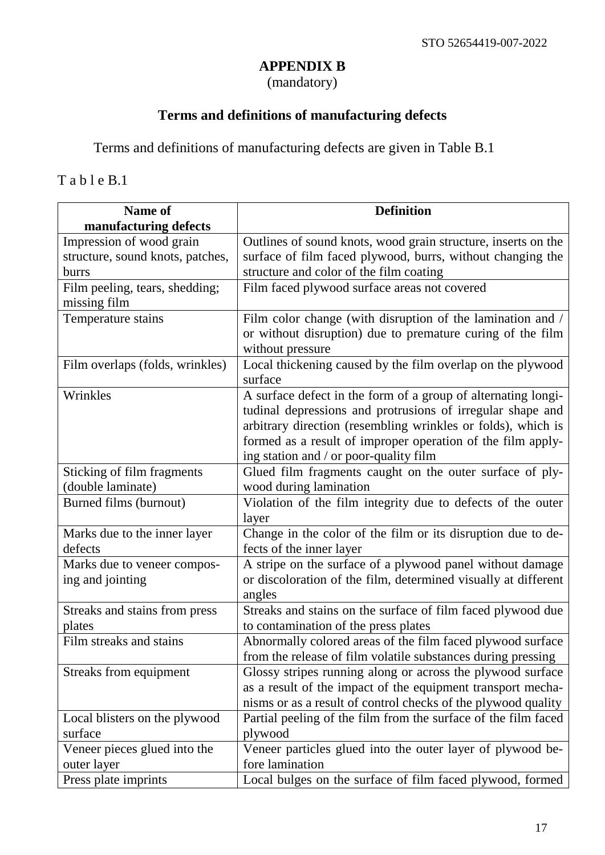# **APPENDIX B**

(mandatory)

# **Terms and definitions of manufacturing defects**

<span id="page-19-0"></span>Terms and definitions of manufacturing defects are given in Table B.1

T a b l e B.1

| <b>Name of</b>                   | <b>Definition</b>                                                     |
|----------------------------------|-----------------------------------------------------------------------|
| manufacturing defects            |                                                                       |
| Impression of wood grain         | Outlines of sound knots, wood grain structure, inserts on the         |
| structure, sound knots, patches, | surface of film faced plywood, burrs, without changing the            |
| burrs                            | structure and color of the film coating                               |
| Film peeling, tears, shedding;   | Film faced plywood surface areas not covered                          |
| missing film                     |                                                                       |
| Temperature stains               | Film color change (with disruption of the lamination and /            |
|                                  | or without disruption) due to premature curing of the film            |
|                                  | without pressure                                                      |
| Film overlaps (folds, wrinkles)  | Local thickening caused by the film overlap on the plywood<br>surface |
| Wrinkles                         | A surface defect in the form of a group of alternating longi-         |
|                                  | tudinal depressions and protrusions of irregular shape and            |
|                                  | arbitrary direction (resembling wrinkles or folds), which is          |
|                                  | formed as a result of improper operation of the film apply-           |
|                                  | ing station and / or poor-quality film                                |
| Sticking of film fragments       | Glued film fragments caught on the outer surface of ply-              |
| (double laminate)                | wood during lamination                                                |
| Burned films (burnout)           | Violation of the film integrity due to defects of the outer           |
|                                  | layer                                                                 |
| Marks due to the inner layer     | Change in the color of the film or its disruption due to de-          |
| defects                          | fects of the inner layer                                              |
| Marks due to veneer compos-      | A stripe on the surface of a plywood panel without damage             |
| ing and jointing                 | or discoloration of the film, determined visually at different        |
|                                  | angles                                                                |
| Streaks and stains from press    | Streaks and stains on the surface of film faced plywood due           |
| plates                           | to contamination of the press plates                                  |
| Film streaks and stains          | Abnormally colored areas of the film faced plywood surface            |
|                                  | from the release of film volatile substances during pressing          |
| Streaks from equipment           | Glossy stripes running along or across the plywood surface            |
|                                  | as a result of the impact of the equipment transport mecha-           |
|                                  | nisms or as a result of control checks of the plywood quality         |
| Local blisters on the plywood    | Partial peeling of the film from the surface of the film faced        |
| surface                          | plywood                                                               |
| Veneer pieces glued into the     | Veneer particles glued into the outer layer of plywood be-            |
| outer layer                      | fore lamination                                                       |
| Press plate imprints             | Local bulges on the surface of film faced plywood, formed             |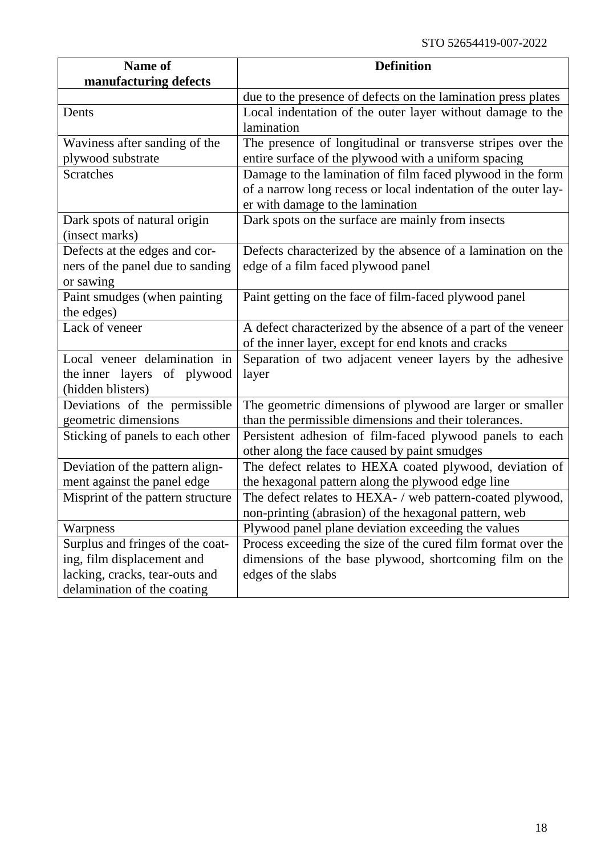| <b>Name of</b>                    | <b>Definition</b>                                              |
|-----------------------------------|----------------------------------------------------------------|
| manufacturing defects             |                                                                |
|                                   | due to the presence of defects on the lamination press plates  |
| Dents                             | Local indentation of the outer layer without damage to the     |
|                                   | lamination                                                     |
| Waviness after sanding of the     | The presence of longitudinal or transverse stripes over the    |
| plywood substrate                 | entire surface of the plywood with a uniform spacing           |
| <b>Scratches</b>                  | Damage to the lamination of film faced plywood in the form     |
|                                   | of a narrow long recess or local indentation of the outer lay- |
|                                   | er with damage to the lamination                               |
| Dark spots of natural origin      | Dark spots on the surface are mainly from insects              |
| (insect marks)                    |                                                                |
| Defects at the edges and cor-     | Defects characterized by the absence of a lamination on the    |
| ners of the panel due to sanding  | edge of a film faced plywood panel                             |
| or sawing                         |                                                                |
| Paint smudges (when painting      | Paint getting on the face of film-faced plywood panel          |
| the edges)                        |                                                                |
| Lack of veneer                    | A defect characterized by the absence of a part of the veneer  |
|                                   | of the inner layer, except for end knots and cracks            |
| Local veneer delamination in      | Separation of two adjacent veneer layers by the adhesive       |
| the inner layers of plywood       | layer                                                          |
| (hidden blisters)                 |                                                                |
| Deviations of the permissible     | The geometric dimensions of plywood are larger or smaller      |
| geometric dimensions              | than the permissible dimensions and their tolerances.          |
| Sticking of panels to each other  | Persistent adhesion of film-faced plywood panels to each       |
|                                   | other along the face caused by paint smudges                   |
| Deviation of the pattern align-   | The defect relates to HEXA coated plywood, deviation of        |
| ment against the panel edge       | the hexagonal pattern along the plywood edge line              |
| Misprint of the pattern structure | The defect relates to HEXA- / web pattern-coated plywood,      |
|                                   | non-printing (abrasion) of the hexagonal pattern, web          |
| Warpness                          | Plywood panel plane deviation exceeding the values             |
| Surplus and fringes of the coat-  | Process exceeding the size of the cured film format over the   |
| ing, film displacement and        | dimensions of the base plywood, shortcoming film on the        |
| lacking, cracks, tear-outs and    | edges of the slabs                                             |
| delamination of the coating       |                                                                |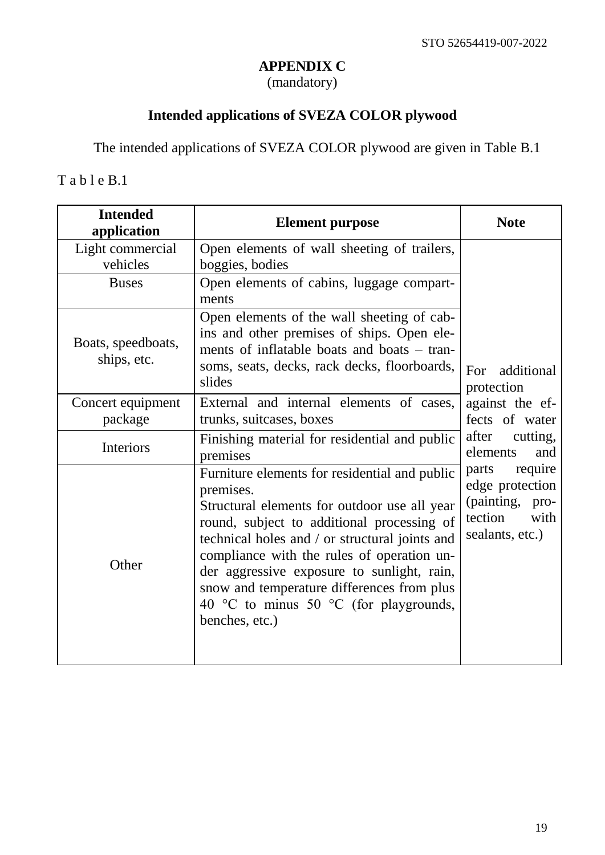# **APPENDIX C**

(mandatory)

# **Intended applications of SVEZA COLOR plywood**

<span id="page-21-0"></span>The intended applications of SVEZA COLOR plywood are given in Table B.1

T a b l e B.1

| <b>Intended</b><br>application    | <b>Element purpose</b>                                                                                                                                                                                                                                                                                                                                                                                           | <b>Note</b>                                                                                     |
|-----------------------------------|------------------------------------------------------------------------------------------------------------------------------------------------------------------------------------------------------------------------------------------------------------------------------------------------------------------------------------------------------------------------------------------------------------------|-------------------------------------------------------------------------------------------------|
| Light commercial<br>vehicles      | Open elements of wall sheeting of trailers,<br>boggies, bodies                                                                                                                                                                                                                                                                                                                                                   |                                                                                                 |
| <b>Buses</b>                      | Open elements of cabins, luggage compart-<br>ments                                                                                                                                                                                                                                                                                                                                                               |                                                                                                 |
| Boats, speedboats,<br>ships, etc. | Open elements of the wall sheeting of cab-<br>ins and other premises of ships. Open ele-<br>ments of inflatable boats and boats – tran-<br>soms, seats, decks, rack decks, floorboards,<br>slides                                                                                                                                                                                                                | additional<br>For<br>protection                                                                 |
| Concert equipment<br>package      | External and internal elements of cases,<br>trunks, suitcases, boxes                                                                                                                                                                                                                                                                                                                                             | against the ef-<br>fects of water                                                               |
| Interiors                         | Finishing material for residential and public<br>premises                                                                                                                                                                                                                                                                                                                                                        | after<br>cutting,<br>elements<br>and                                                            |
| Other                             | Furniture elements for residential and public<br>premises.<br>Structural elements for outdoor use all year<br>round, subject to additional processing of<br>technical holes and / or structural joints and<br>compliance with the rules of operation un-<br>der aggressive exposure to sunlight, rain,<br>snow and temperature differences from plus<br>40 °C to minus 50 °C (for playgrounds,<br>benches, etc.) | require<br>parts<br>edge protection<br>(painting,<br>pro-<br>tection<br>with<br>sealants, etc.) |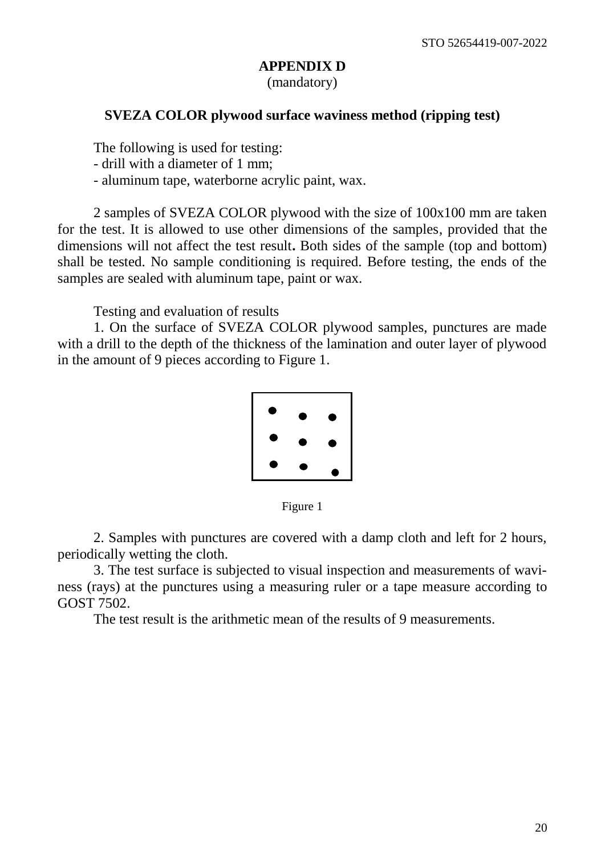## **APPENDIX D**

(mandatory)

#### <span id="page-22-0"></span>**SVEZA COLOR plywood surface waviness method (ripping test)**

The following is used for testing:

- drill with a diameter of 1 mm;
- aluminum tape, waterborne acrylic paint, wax.

2 samples of SVEZA COLOR plywood with the size of 100x100 mm are taken for the test. It is allowed to use other dimensions of the samples, provided that the dimensions will not affect the test result**.** Both sides of the sample (top and bottom) shall be tested. No sample conditioning is required. Before testing, the ends of the samples are sealed with aluminum tape, paint or wax.

Testing and evaluation of results

1. On the surface of SVEZA COLOR plywood samples, punctures are made with a drill to the depth of the thickness of the lamination and outer layer of plywood in the amount of 9 pieces according to Figure 1.



Figure 1

2. Samples with punctures are covered with a damp cloth and left for 2 hours, periodically wetting the cloth.

3. The test surface is subjected to visual inspection and measurements of waviness (rays) at the punctures using a measuring ruler or a tape measure according to GOST 7502.

The test result is the arithmetic mean of the results of 9 measurements.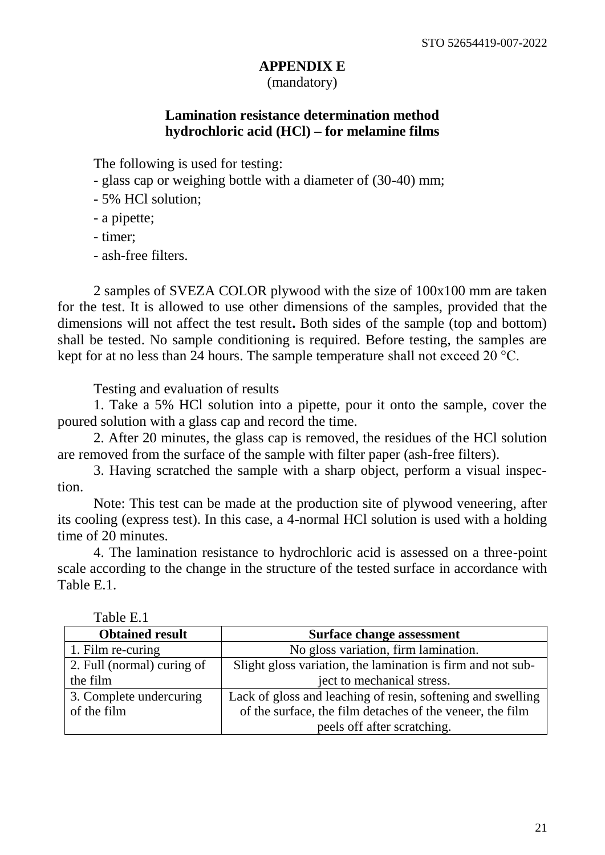#### **APPENDIX E**

(mandatory)

#### **Lamination resistance determination method hydrochloric acid (HCl) – for melamine films**

<span id="page-23-0"></span>The following is used for testing:

- glass cap or weighing bottle with a diameter of (30-40) mm;
- 5% HCl solution;
- a pipette;
- timer;
- ash-free filters.

2 samples of SVEZA COLOR plywood with the size of 100x100 mm are taken for the test. It is allowed to use other dimensions of the samples, provided that the dimensions will not affect the test result**.** Both sides of the sample (top and bottom) shall be tested. No sample conditioning is required. Before testing, the samples are kept for at no less than 24 hours. The sample temperature shall not exceed 20 °C.

Testing and evaluation of results

1. Take a 5% HCl solution into a pipette, pour it onto the sample, cover the poured solution with a glass cap and record the time.

2. After 20 minutes, the glass cap is removed, the residues of the HCl solution are removed from the surface of the sample with filter paper (ash-free filters).

3. Having scratched the sample with a sharp object, perform a visual inspection.

Note: This test can be made at the production site of plywood veneering, after its cooling (express test). In this case, a 4-normal HCl solution is used with a holding time of 20 minutes.

4. The lamination resistance to hydrochloric acid is assessed on a three-point scale according to the change in the structure of the tested surface in accordance with Table E.1.

<span id="page-23-1"></span>

| 1 UU U U U                 |                                                             |
|----------------------------|-------------------------------------------------------------|
| <b>Obtained result</b>     | <b>Surface change assessment</b>                            |
| 1. Film re-curing          | No gloss variation, firm lamination.                        |
| 2. Full (normal) curing of | Slight gloss variation, the lamination is firm and not sub- |
| the film                   | ject to mechanical stress.                                  |
| 3. Complete undercuring    | Lack of gloss and leaching of resin, softening and swelling |
| of the film                | of the surface, the film detaches of the veneer, the film   |
|                            | peels off after scratching.                                 |

Table E.1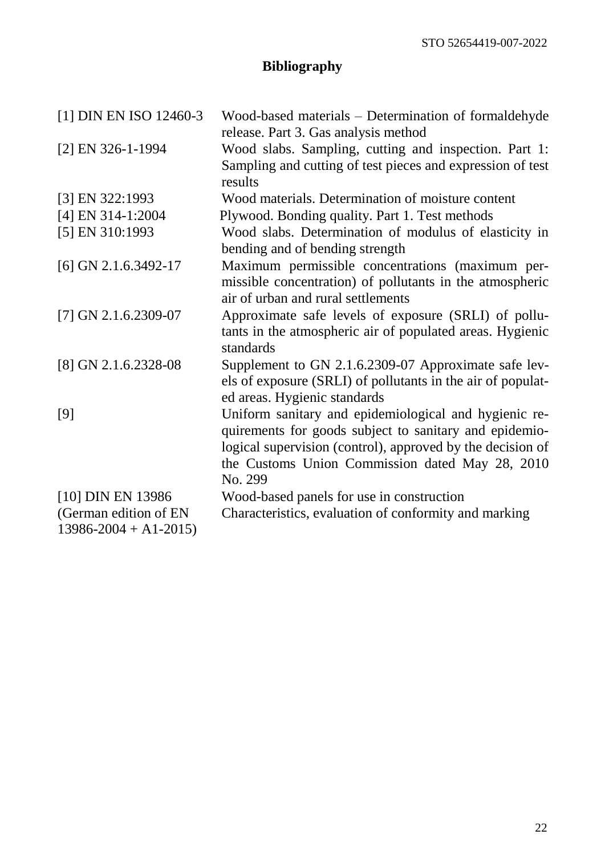# **Bibliography**

| [1] DIN EN ISO 12460-3                              | Wood-based materials – Determination of formaldehyde<br>release. Part 3. Gas analysis method                                                                                                                                                |
|-----------------------------------------------------|---------------------------------------------------------------------------------------------------------------------------------------------------------------------------------------------------------------------------------------------|
| [2] EN 326-1-1994                                   | Wood slabs. Sampling, cutting and inspection. Part 1:<br>Sampling and cutting of test pieces and expression of test<br>results                                                                                                              |
| [3] EN 322:1993                                     | Wood materials. Determination of moisture content                                                                                                                                                                                           |
| [4] EN 314-1:2004                                   | Plywood. Bonding quality. Part 1. Test methods                                                                                                                                                                                              |
| [5] EN 310:1993                                     | Wood slabs. Determination of modulus of elasticity in<br>bending and of bending strength                                                                                                                                                    |
| $[6]$ GN 2.1.6.3492-17                              | Maximum permissible concentrations (maximum per-<br>missible concentration) of pollutants in the atmospheric<br>air of urban and rural settlements                                                                                          |
| [7] GN 2.1.6.2309-07                                | Approximate safe levels of exposure (SRLI) of pollu-<br>tants in the atmospheric air of populated areas. Hygienic<br>standards                                                                                                              |
| [8] GN 2.1.6.2328-08                                | Supplement to GN 2.1.6.2309-07 Approximate safe lev-<br>els of exposure (SRLI) of pollutants in the air of populat-<br>ed areas. Hygienic standards                                                                                         |
| [9]                                                 | Uniform sanitary and epidemiological and hygienic re-<br>quirements for goods subject to sanitary and epidemio-<br>logical supervision (control), approved by the decision of<br>the Customs Union Commission dated May 28, 2010<br>No. 299 |
| [10] DIN EN 13986                                   | Wood-based panels for use in construction                                                                                                                                                                                                   |
| (German edition of EN<br>$13986 - 2004 + A1 - 2015$ | Characteristics, evaluation of conformity and marking                                                                                                                                                                                       |